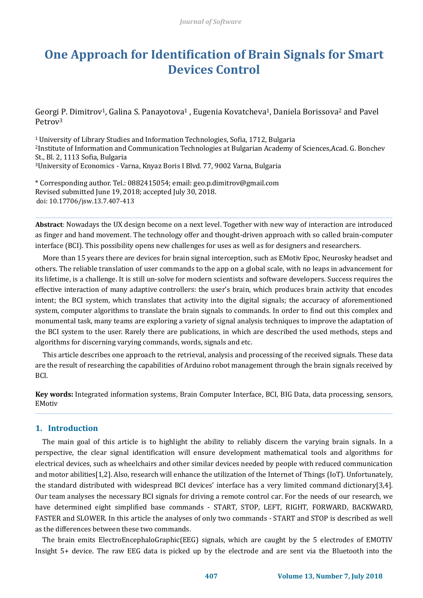# **One Approach for Identification of Brain Signals for Smart Devices Control**

Georgi P. Dimitrov<sup>1</sup>, Galina S. Panayotova<sup>1</sup>, Eugenia Kovatcheva<sup>1</sup>, Daniela Borissova<sup>2</sup> and Pavel Petrov<sup>3</sup>

University of Library Studies and Information Technologies, Sofia, 1712, Bulgaria Institute of Information and Communication Technologies at Bulgarian Academy of Sciences,Acad. G. Bonchev St., Bl. 2, 1113 Sofia, Bulgaria University of Economics - Varna, Knyaz Boris I Blvd. 77, 9002 Varna, Bulgaria

\* Corresponding author. Tel.: 0882415054; email: geo.p.dimitrov@gmail.com Revised submitted June 19, 2018; accepted July 30, 2018. doi: 10.17706/jsw.13.7.407-413

**Abstract**: Nowadays the UX design become on a next level. Together with new way of interaction are introduced as finger and hand movement. The technology offer and thought-driven approach with so called brain-computer interface (BCI). This possibility opens new challenges for uses as well as for designers and researchers.

More than 15 years there are devices for brain signal interception, such as EMotiv Epoc, Neurosky headset and others. The reliable translation of user commands to the app on a global scale, with no leaps in advancement for its lifetime, is a challenge. It is still un-solve for modern scientists and software developers. Success requires the effective interaction of many adaptive controllers: the user's brain, which produces brain activity that encodes intent; the BCI system, which translates that activity into the digital signals; the accuracy of aforementioned system, computer algorithms to translate the brain signals to commands. In order to find out this complex and monumental task, many teams are exploring a variety of signal analysis techniques to improve the adaptation of the BCI system to the user. Rarely there are publications, in which are described the used methods, steps and algorithms for discerning varying commands, words, signals and etc.

This article describes one approach to the retrieval, analysis and processing of the received signals. These data are the result of researching the capabilities of Arduino robot management through the brain signals received by BCI.

**Key words:** Integrated information systems, Brain Computer Interface, BCI, BIG Data, data processing, sensors, EMotiv

#### **1. Introduction**

The main goal of this article is to highlight the ability to reliably discern the varying brain signals. In a perspective, the clear signal identification will ensure development mathematical tools and algorithms for electrical devices, such as wheelchairs and other similar devices needed by people with reduced communication and motor abilities[1,2]. Also, research will enhance the utilization of the Internet of Things (IoT). Unfortunately, the standard distributed with widespread BCI devices' interface has a very limited command dictionary[3,4]. Our team analyses the necessary BCI signals for driving a remote control car. For the needs of our research, we have determined eight simplified base commands - START, STOP, LEFT, RIGHT, FORWARD, BACKWARD, FASTER and SLOWER. In this article the analyses of only two commands - START and STOP is described as well as the differences between these two commands.

The brain emits ElectroEncephaloGraphic(EEG) signals, which are caught by the 5 electrodes of EMOTIV Insight 5+ device. The raw EEG data is picked up by the electrode and are sent via the Bluetooth into the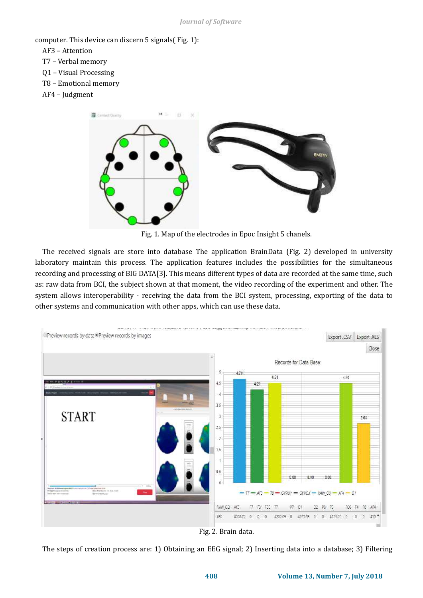computer. This device can discern 5 signals[\( Fig. 1\)](#page-1-0):

- AF3 Attention
- T7 Verbal memory
- Q1 Visual Processing
- T8 Emotional memory
- AF4 Judgment



Fig. 1. Map of the electrodes in Epoc Insight 5 chanels.

<span id="page-1-0"></span>The received signals are store into database The application BrainData [\(Fig.](#page-1-1) 2) developed in university laboratory maintain this process. The application features includes the possibilities for the simultaneous recording and processing of BIG DATA[3]. This means different types of data are recorded at the same time, such as: raw data from BCI, the subject shown at that moment, the video recording of the experiment and other. The system allows interoperability - receiving the data from the BCI system, processing, exporting of the data to other systems and communication with other apps, which can use these data.



Fig. 2. Brain data.

<span id="page-1-1"></span>The steps of creation process are: 1) Obtaining an EEG signal; 2) Inserting data into a database; 3) Filtering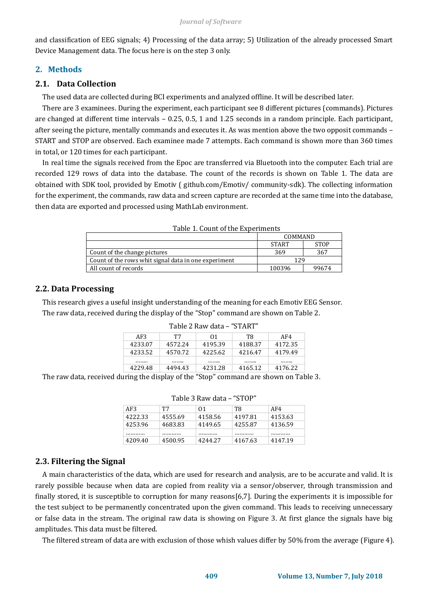and classification of EEG signals; 4) Processing of the data array; 5) Utilization of the already processed Smart Device Management data. The focus here is on the step 3 only.

## **2. Methods**

#### **2.1. Data Collection**

The used data are collected during BCI experiments and analyzed offline. It will be described later.

There are 3 examinees. During the experiment, each participant see 8 different pictures (commands). Pictures are changed at different time intervals – 0.25, 0.5, 1 and 1.25 seconds in a random principle. Each participant, after seeing the picture, mentally commands and executes it. As was mention above the two opposit commands – START and STOP are observed. Each examinee made 7 attempts. Each command is shown more than 360 times in total, or 120 times for each participant.

In real time the signals received from the Epoc are transferred via Bluetooth into the computer. Each trial are recorded 129 rows of data into the database. The count of the records is shown on [Table 1.](#page-2-0) The data are obtained with SDK tool, provided by Emotiv ( github.com/Emotiv/ community-sdk). The collecting information for the experiment, the commands, raw data and screen capture are recorded at the same time into the database, then data are exported and processed using MathLab environment.

<span id="page-2-0"></span>

| Table 1. Count of the experiments                    |                 |             |
|------------------------------------------------------|-----------------|-------------|
|                                                      | COMMAND         |             |
|                                                      | <b>START</b>    | <b>STOP</b> |
| Count of the change pictures                         | 369             | 367         |
| Count of the rows whit signal data in one experiment | 129             |             |
| All count of records                                 | 100396<br>99674 |             |

|  |  |  | Table 1. Count of the Experiments |
|--|--|--|-----------------------------------|
|--|--|--|-----------------------------------|

#### **2.2. Data Processing**

<span id="page-2-1"></span>This research gives a useful insight understanding of the meaning for each Emotiv EEG Sensor. The raw data, received during the display of the "Stop" command are shown o[n Table 2.](#page-2-1)

| Table 2 Raw data<br>. |         |         |         |         |
|-----------------------|---------|---------|---------|---------|
| AF3                   | т7      | 01      | Т8      | AF4     |
| 4233.07               | 4572.24 | 4195.39 | 4188.37 | 4172.35 |
| 4233.52               | 4570.72 | 4225.62 | 4216.47 | 4179.49 |
|                       |         |         |         |         |
| 4229.48               | 4494.43 | 4231.28 | 4165.12 | 4176.22 |

#### Table 2 Raw data – "START"

The raw data, received during the display of the "Stop" command are shown on Table 3.

| AF3     | T7      | 01      | T8      | AF4     |
|---------|---------|---------|---------|---------|
| 4222.33 | 4555.69 | 4158.56 | 4197.81 | 4153.63 |
| 4253.96 | 4683.83 | 4149.65 | 4255.87 | 4136.59 |
|         |         |         |         |         |
| 4209.40 | 4500.95 | 4244.27 | 4167.63 | 4147.19 |

Table 3 Raw data – "STOP"

# **2.3. Filtering the Signal**

A main characteristics of the data, which are used for research and analysis, are to be accurate and valid. It is rarely possible because when data are copied from reality via a sensor/observer, through transmission and finally stored, it is susceptible to corruption for many reasons[6,7]. During the experiments it is impossible for the test subject to be permanently concentrated upon the given command. This leads to receiving unnecessary or false data in the stream. The original raw data is showing on [Figure 3.](#page-3-0) At first glance the signals have big amplitudes. This data must be filtered.

The filtered stream of data are with exclusion of those whish values differ by 50% from the average [\(Figure 4\)](#page-3-1).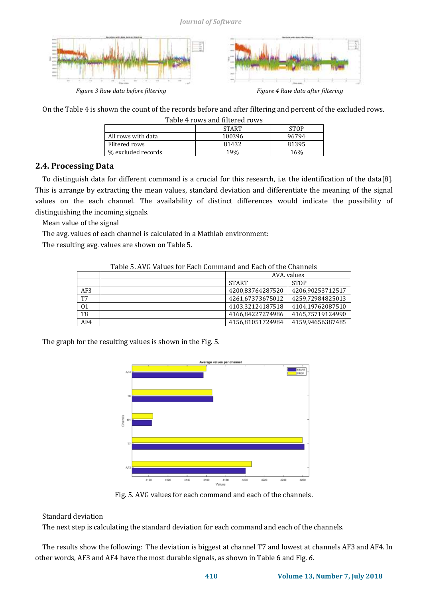

*Figure 3 Raw data before filtering Figure 4 Raw data after filtering*



<span id="page-3-1"></span>

<span id="page-3-2"></span><span id="page-3-0"></span>On th[e Table 4](#page-3-2) is shown the count of the records before and after filtering and percent of the excluded rows.

| Table 4 rows and filtered rows |              |             |
|--------------------------------|--------------|-------------|
|                                | <b>START</b> | <b>STOP</b> |
| All rows with data             | 100396       | 96794       |
| Filtered rows                  | 81432        | 81395       |
| % excluded records             | 19%          | 16%         |

# **2.4. Processing Data**

To distinguish data for different command is a crucial for this research, i.e. the identification of the data[8]. This is arrange by extracting the mean values, standard deviation and differentiate the meaning of the signal values on the each channel. The availability of distinct differences would indicate the possibility of distinguishing the incoming signals.

Mean value of the signal

The avg. values of each channel is calculated in a Mathlab environment:

<span id="page-3-3"></span>The resulting avg. values are shown o[n Table 5.](#page-3-3) 

| Table 5. Avu values iõi Each Command and Each of the Chamiels |  |                  |                  |
|---------------------------------------------------------------|--|------------------|------------------|
|                                                               |  | AVA, values      |                  |
|                                                               |  | <b>START</b>     | <b>STOP</b>      |
| AF3                                                           |  | 4200,83764287520 | 4206,90253712517 |
| T7                                                            |  | 4261,67373675012 | 4259,72984825013 |
| 01                                                            |  | 4103,32124187518 | 4104,19762087510 |
| T <sub>8</sub>                                                |  | 4166.84227274986 | 4165,75719124990 |
| AF4                                                           |  | 4156.81051724984 | 4159,94656387485 |

Table 5. AVG Values for Each Command and Each of the Channels

The graph for the resulting values is shown in th[e Fig. 5.](#page-3-4)



Fig. 5. AVG values for each command and each of the channels.

#### <span id="page-3-4"></span>Standard deviation

The next step is calculating the standard deviation for each command and each of the channels.

The results show the following: The deviation is biggest at channel T7 and lowest at channels AF3 and AF4. In other words, AF3 and AF4 have the most durable signals, as shown in [Table 6](#page-4-0) an[d Fig.](#page-4-1) *6*.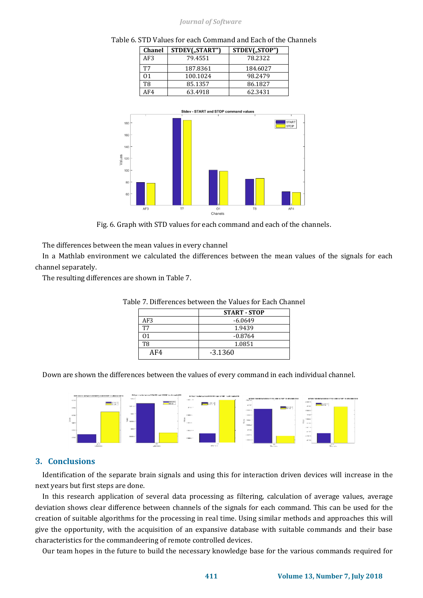#### *Journal of Software*



<span id="page-4-0"></span>Table 6. STD Values for each Command and Each of the Channels



Fig. 6. Graph with STD values for each command and each of the channels.

<span id="page-4-1"></span>The differences between the mean values in every channel

In a Mathlab environment we calculated the differences between the mean values of the signals for each channel separately.

<span id="page-4-2"></span>The resulting differences are shown in [Table 7.](#page-4-2)

|           | <b>START - STOP</b> |
|-----------|---------------------|
| AF3       | $-6.0649$           |
| <b>T7</b> | 1.9439              |
| 71        | $-0.8764$           |
| T8        | 1.0851              |
| AF4       | $-3.1360$           |

Table 7. Differences between the Values for Each Channel

Down are shown the differences between the values of every command in each individual channel.



#### **3. Conclusions**

Identification of the separate brain signals and using this for interaction driven devices will increase in the next years but first steps are done.

In this research application of several data processing as filtering, calculation of average values, average deviation shows clear difference between channels of the signals for each command. This can be used for the creation of suitable algorithms for the processing in real time. Using similar methods and approaches this will give the opportunity, with the acquisition of an expansive database with suitable commands and their base characteristics for the commandeering of remote controlled devices.

Our team hopes in the future to build the necessary knowledge base for the various commands required for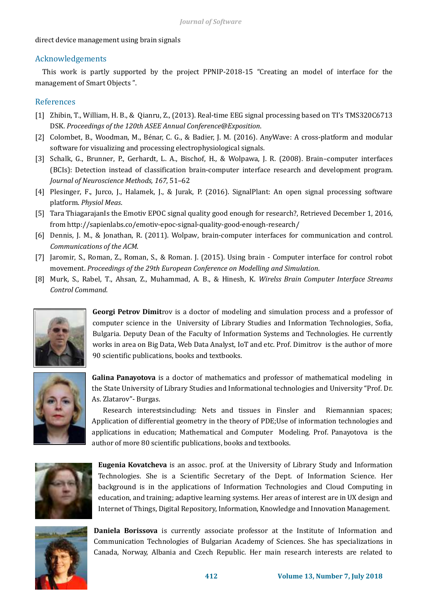#### direct device management using brain signals

### Acknowledgements

This work is partly supported by the project PPNIP-2018-15 "Creating an model of interface for the management of Smart Objects ".

## References

- [1] Zhibin, T., William, H. B., & Qianru, Z., (2013). Real-time EEG signal processing based on TI's TMS320C6713 DSK. *Proceedings of the 120th ASEE Annual Conference@Exposition*.
- [2] Colombet, B., Woodman, M., Bénar, C. G., & Badier, J. M. (2016). AnyWave: A cross-platform and modular software for visualizing and processing electrophysiological signals.
- [3] Schalk, G., Brunner, P., Gerhardt, L. A., Bischof, H., & Wolpawa, J. R. (2008). Brain–computer interfaces (BCIs): Detection instead of classification brain-computer interface research and development program. *Journal of Neuroscience Methods, 167*, 51–62
- [4] Plesinger, F., Jurco, J., Halamek, J., & Jurak, P. (2016). SignalPlant: An open signal processing software platform. *Physiol Meas*.
- [5] Tara ThiagarajanIs the Emotiv EPOC signal quality good enough for research?, Retrieved December 1, 2016, from http://sapienlabs.co/emotiv-epoc-signal-quality-good-enough-research/
- [6] Dennis, J. M., & Jonathan, R. (2011). Wolpaw, brain-computer interfaces for communication and control. *Communications of the ACM*.
- [7] Jaromir, S., Roman, Z., Roman, S., & Roman. J. (2015). Using brain Computer interface for control robot movement. *Proceedings of the 29th European Conference on Modelling and Simulation*.
- [8] Murk, S., Rabel, T., Ahsan, Z., Muhammad, A. B., & Hinesh, K. *Wirelss Brain Computer Interface Streams Control Command*.



**Georgi Petrov Dimit**rov is a doctor of modeling and simulation process and a professor of computer science in the University of Library Studies and Information Technologies, Sofia, Bulgaria. Deputy Dean of the Faculty of Information Systems and Technologies. He currently works in area on Big Data, Web Data Analyst, IoT and etc. Prof. Dimitrov is the author of more 90 scientific publications, books and textbooks.



**Galina Panayotova** is a doctor of mathematics and professor of mathematical modeling in the State University of Library Studies and Informational technologies and University "Prof. Dr. As. Zlatarov"- Burgas.

Research interestsincluding: Nets and tissues in Finsler and Riemannian spaces; Application of differential geometry in the theory of PDE;Use of information technologies and applications in education; Mathematical and Computer Modeling. Prof. Panayotova is the author of more 80 scientific publications, books and textbooks.



**Eugenia Kovatcheva** is an assoc. prof. at the University of Library Study and Information Technologies. She is a Scientific Secretary of the Dept. of Information Science. Her background is in the applications of Information Technologies and Cloud Computing in education, and training; adaptive learning systems. Her areas of interest are in UX design and Internet of Things, Digital Repository, Information, Knowledge and Innovation Management.



**Daniela Borissova** is currently associate professor at the Institute of Information and Communication Technologies of Bulgarian Academy of Sciences. She has specializations in Canada, Norway, Albania and Czech Republic. Her main research interests are related to